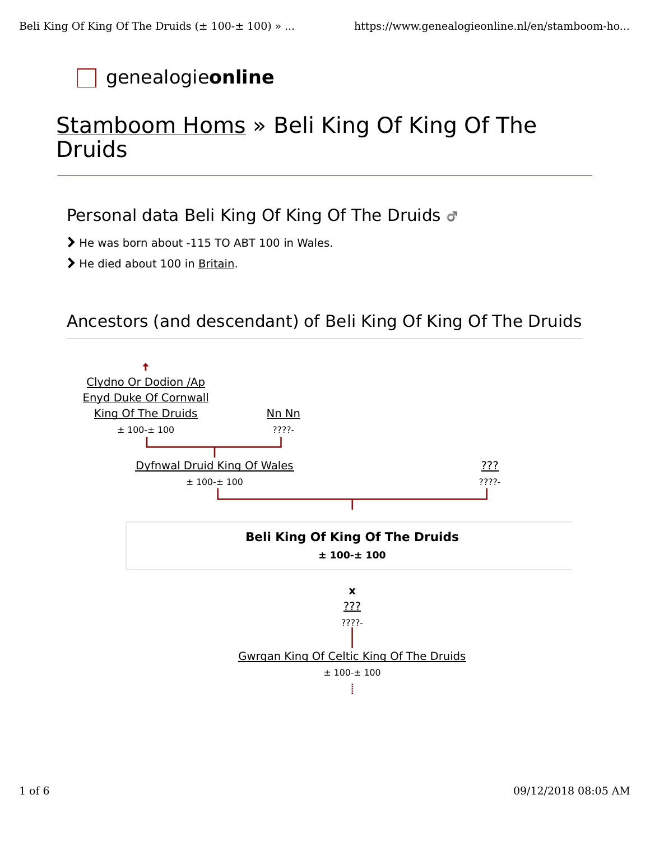# genealogie**online**

# Stamboom Homs » Beli King Of King Of The Druids

### Personal data Beli King Of King Of The Druids  $\sigma$

> He was born about -115 TO ABT 100 in Wales.

> He died about 100 in Britain.

### Ancestors (and descendant) of Beli King Of King Of The Druids

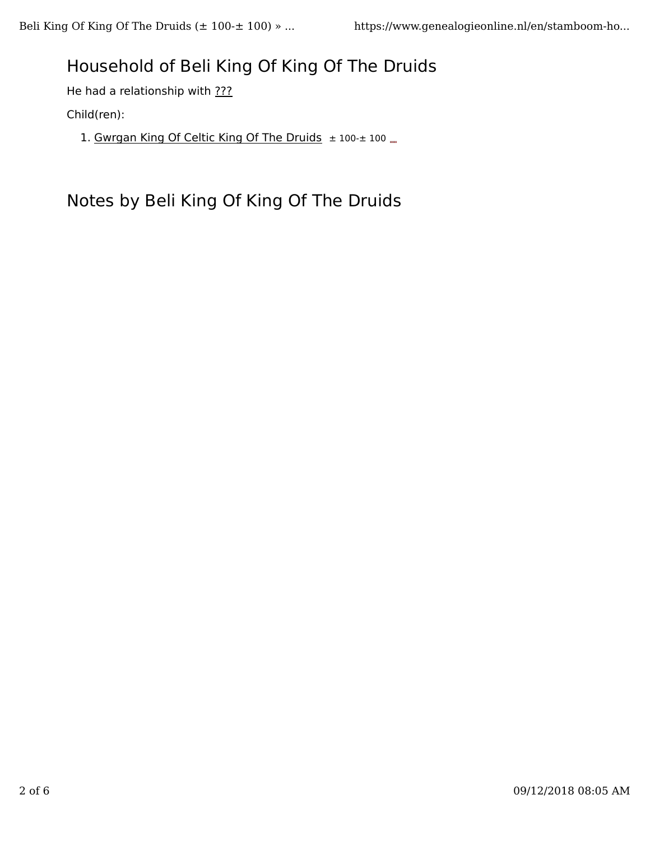## Household of Beli King Of King Of The Druids

He had a relationship with ???

Child(ren):

1. Gwrgan King Of Celtic King Of The Druids ± 100-± 100 ....

Notes by Beli King Of King Of The Druids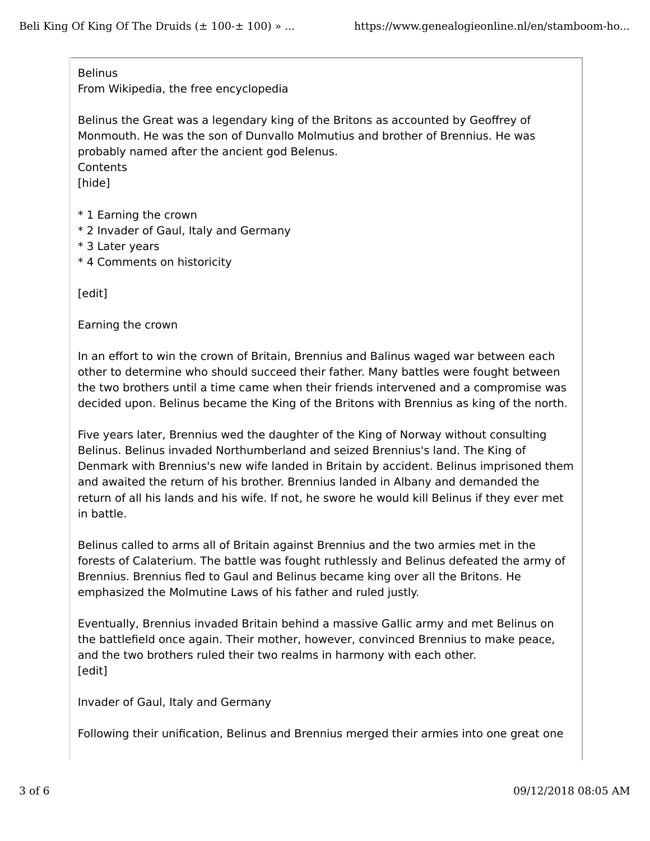#### **Belinus**

From Wikipedia, the free encyclopedia

Belinus the Great was a legendary king of the Britons as accounted by Geoffrey of Monmouth. He was the son of Dunvallo Molmutius and brother of Brennius. He was probably named after the ancient god Belenus.

**Contents** 

[hide]

- \* 1 Earning the crown
- \* 2 Invader of Gaul, Italy and Germany
- \* 3 Later years
- \* 4 Comments on historicity

[edit]

Earning the crown

In an effort to win the crown of Britain, Brennius and Balinus waged war between each other to determine who should succeed their father. Many battles were fought between the two brothers until a time came when their friends intervened and a compromise was decided upon. Belinus became the King of the Britons with Brennius as king of the north.

Five years later, Brennius wed the daughter of the King of Norway without consulting Belinus. Belinus invaded Northumberland and seized Brennius's land. The King of Denmark with Brennius's new wife landed in Britain by accident. Belinus imprisoned them and awaited the return of his brother. Brennius landed in Albany and demanded the return of all his lands and his wife. If not, he swore he would kill Belinus if they ever met in battle.

Belinus called to arms all of Britain against Brennius and the two armies met in the forests of Calaterium. The battle was fought ruthlessly and Belinus defeated the army of Brennius. Brennius fled to Gaul and Belinus became king over all the Britons. He emphasized the Molmutine Laws of his father and ruled justly.

Eventually, Brennius invaded Britain behind a massive Gallic army and met Belinus on the battlefield once again. Their mother, however, convinced Brennius to make peace, and the two brothers ruled their two realms in harmony with each other. [edit]

Invader of Gaul, Italy and Germany

Following their unification, Belinus and Brennius merged their armies into one great one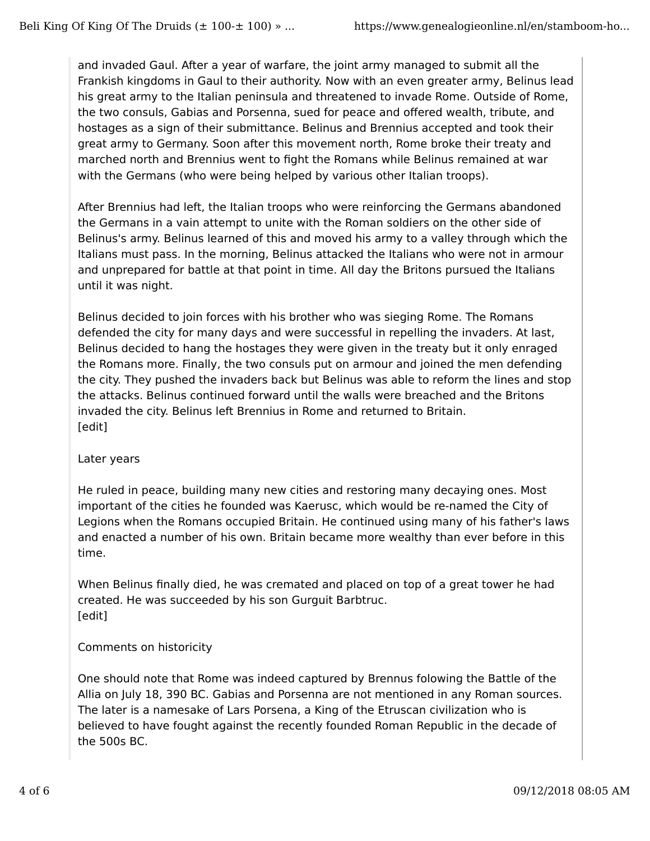and invaded Gaul. After a year of warfare, the joint army managed to submit all the Frankish kingdoms in Gaul to their authority. Now with an even greater army, Belinus lead his great army to the Italian peninsula and threatened to invade Rome. Outside of Rome, the two consuls, Gabias and Porsenna, sued for peace and offered wealth, tribute, and hostages as a sign of their submittance. Belinus and Brennius accepted and took their great army to Germany. Soon after this movement north, Rome broke their treaty and marched north and Brennius went to fight the Romans while Belinus remained at war with the Germans (who were being helped by various other Italian troops).

After Brennius had left, the Italian troops who were reinforcing the Germans abandoned the Germans in a vain attempt to unite with the Roman soldiers on the other side of Belinus's army. Belinus learned of this and moved his army to a valley through which the Italians must pass. In the morning, Belinus attacked the Italians who were not in armour and unprepared for battle at that point in time. All day the Britons pursued the Italians until it was night.

Belinus decided to join forces with his brother who was sieging Rome. The Romans defended the city for many days and were successful in repelling the invaders. At last, Belinus decided to hang the hostages they were given in the treaty but it only enraged the Romans more. Finally, the two consuls put on armour and joined the men defending the city. They pushed the invaders back but Belinus was able to reform the lines and stop the attacks. Belinus continued forward until the walls were breached and the Britons invaded the city. Belinus left Brennius in Rome and returned to Britain. [edit]

### Later years

He ruled in peace, building many new cities and restoring many decaying ones. Most important of the cities he founded was Kaerusc, which would be re-named the City of Legions when the Romans occupied Britain. He continued using many of his father's laws and enacted a number of his own. Britain became more wealthy than ever before in this time.

When Belinus finally died, he was cremated and placed on top of a great tower he had created. He was succeeded by his son Gurguit Barbtruc. [edit]

### Comments on historicity

One should note that Rome was indeed captured by Brennus folowing the Battle of the Allia on July 18, 390 BC. Gabias and Porsenna are not mentioned in any Roman sources. The later is a namesake of Lars Porsena, a King of the Etruscan civilization who is believed to have fought against the recently founded Roman Republic in the decade of the 500s BC.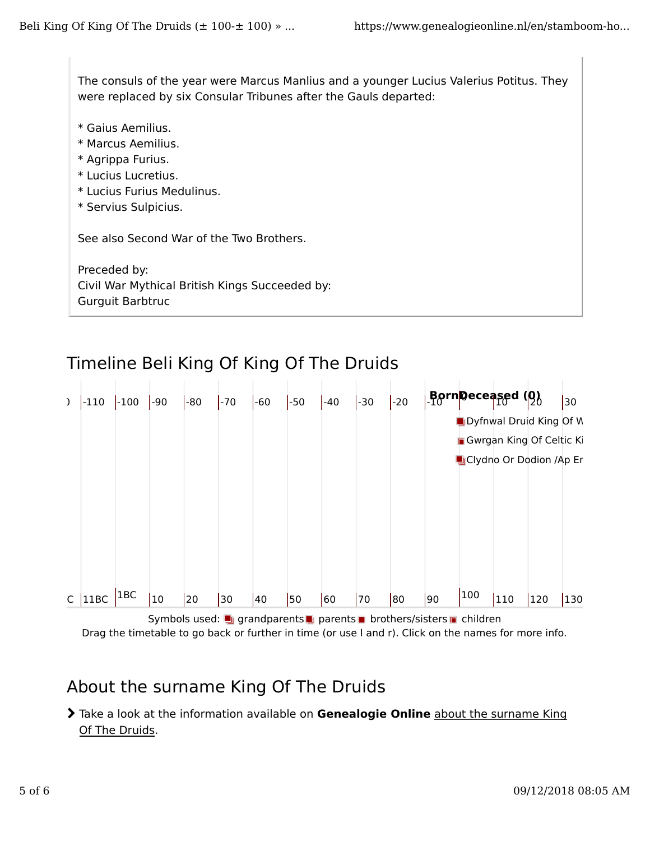The consuls of the year were Marcus Manlius and a younger Lucius Valerius Potitus. They were replaced by six Consular Tribunes after the Gauls departed:

- \* Gaius Aemilius.
- \* Marcus Aemilius.
- \* Agrippa Furius.
- \* Lucius Lucretius.
- \* Lucius Furius Medulinus.
- \* Servius Sulpicius.

See also Second War of the Two Brothers.

Preceded by: Civil War Mythical British Kings Succeeded by: Gurguit Barbtruc





Symbols used: grandparents parents brothers/sisters children Drag the timetable to go back or further in time (or use l and r). Click on the names for more info.

## About the surname King Of The Druids

 Take a look at the information available on **Genealogie Online** about the surname King Of The Druids.